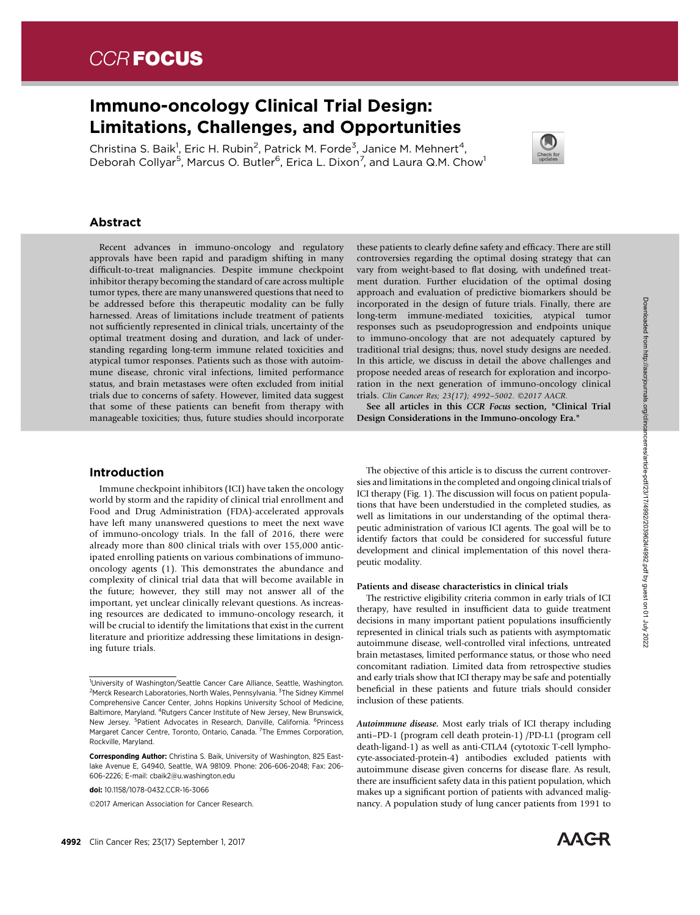# CCR **FOCUS**

## Immuno-oncology Clinical Trial Design: Limitations, Challenges, and Opportunities

Christina S. Baik<sup>1</sup>, Eric H. Rubin<sup>2</sup>, Patrick M. Forde<sup>3</sup>, Janice M. Mehnert<sup>4</sup>, Deborah Collyar<sup>5</sup>, Marcus O. Butler<sup>6</sup>, Erica L. Dixon<sup>7</sup>, and Laura Q.M. Chow<sup>1</sup>



### Abstract

Recent advances in immuno-oncology and regulatory approvals have been rapid and paradigm shifting in many difficult-to-treat malignancies. Despite immune checkpoint inhibitor therapy becoming the standard of care across multiple tumor types, there are many unanswered questions that need to be addressed before this therapeutic modality can be fully harnessed. Areas of limitations include treatment of patients not sufficiently represented in clinical trials, uncertainty of the optimal treatment dosing and duration, and lack of understanding regarding long-term immune related toxicities and atypical tumor responses. Patients such as those with autoimmune disease, chronic viral infections, limited performance status, and brain metastases were often excluded from initial trials due to concerns of safety. However, limited data suggest that some of these patients can benefit from therapy with manageable toxicities; thus, future studies should incorporate these patients to clearly define safety and efficacy. There are still controversies regarding the optimal dosing strategy that can vary from weight-based to flat dosing, with undefined treatment duration. Further elucidation of the optimal dosing approach and evaluation of predictive biomarkers should be incorporated in the design of future trials. Finally, there are long-term immune-mediated toxicities, atypical tumor responses such as pseudoprogression and endpoints unique to immuno-oncology that are not adequately captured by traditional trial designs; thus, novel study designs are needed. In this article, we discuss in detail the above challenges and propose needed areas of research for exploration and incorporation in the next generation of immuno-oncology clinical trials. Clin Cancer Res; 23(17); 4992-5002. ©2017 AACR.

See all articles in this CCR Focus section, "Clinical Trial Design Considerations in the Immuno-oncology Era."

#### Introduction

Immune checkpoint inhibitors (ICI) have taken the oncology world by storm and the rapidity of clinical trial enrollment and Food and Drug Administration (FDA)-accelerated approvals have left many unanswered questions to meet the next wave of immuno-oncology trials. In the fall of 2016, there were already more than 800 clinical trials with over 155,000 anticipated enrolling patients on various combinations of immunooncology agents (1). This demonstrates the abundance and complexity of clinical trial data that will become available in the future; however, they still may not answer all of the important, yet unclear clinically relevant questions. As increasing resources are dedicated to immuno-oncology research, it will be crucial to identify the limitations that exist in the current literature and prioritize addressing these limitations in designing future trials.

2017 American Association for Cancer Research.

The objective of this article is to discuss the current controversies and limitations in the completed and ongoing clinical trials of ICI therapy (Fig. 1). The discussion will focus on patient populations that have been understudied in the completed studies, as well as limitations in our understanding of the optimal therapeutic administration of various ICI agents. The goal will be to identify factors that could be considered for successful future development and clinical implementation of this novel therapeutic modality.

#### Patients and disease characteristics in clinical trials

The restrictive eligibility criteria common in early trials of ICI therapy, have resulted in insufficient data to guide treatment decisions in many important patient populations insufficiently represented in clinical trials such as patients with asymptomatic autoimmune disease, well-controlled viral infections, untreated brain metastases, limited performance status, or those who need concomitant radiation. Limited data from retrospective studies and early trials show that ICI therapy may be safe and potentially beneficial in these patients and future trials should consider inclusion of these patients.

Autoimmune disease. Most early trials of ICI therapy including anti–PD-1 (program cell death protein-1) /PD-L1 (program cell death-ligand-1) as well as anti-CTLA4 (cytotoxic T-cell lymphocyte-associated-protein-4) antibodies excluded patients with autoimmune disease given concerns for disease flare. As result, there are insufficient safety data in this patient population, which makes up a significant portion of patients with advanced malignancy. A population study of lung cancer patients from 1991 to



<sup>&</sup>lt;sup>1</sup>University of Washington/Seattle Cancer Care Alliance, Seattle, Washington. <sup>2</sup>Merck Research Laboratories, North Wales, Pennsylvania. <sup>3</sup>The Sidney Kimmel Comprehensive Cancer Center, Johns Hopkins University School of Medicine, Baltimore, Maryland. <sup>4</sup>Rutgers Cancer Institute of New Jersey, New Brunswick, New Jersey. <sup>5</sup>Patient Advocates in Research, Danville, California. <sup>6</sup>Princess Margaret Cancer Centre, Toronto, Ontario, Canada. <sup>7</sup>The Emmes Corporation, Rockville, Maryland.

Corresponding Author: Christina S. Baik, University of Washington, 825 Eastlake Avenue E, G4940, Seattle, WA 98109. Phone: 206-606-2048; Fax: 206- 606-2226; E-mail: cbaik2@u.washington.edu

doi: 10.1158/1078-0432.CCR-16-3066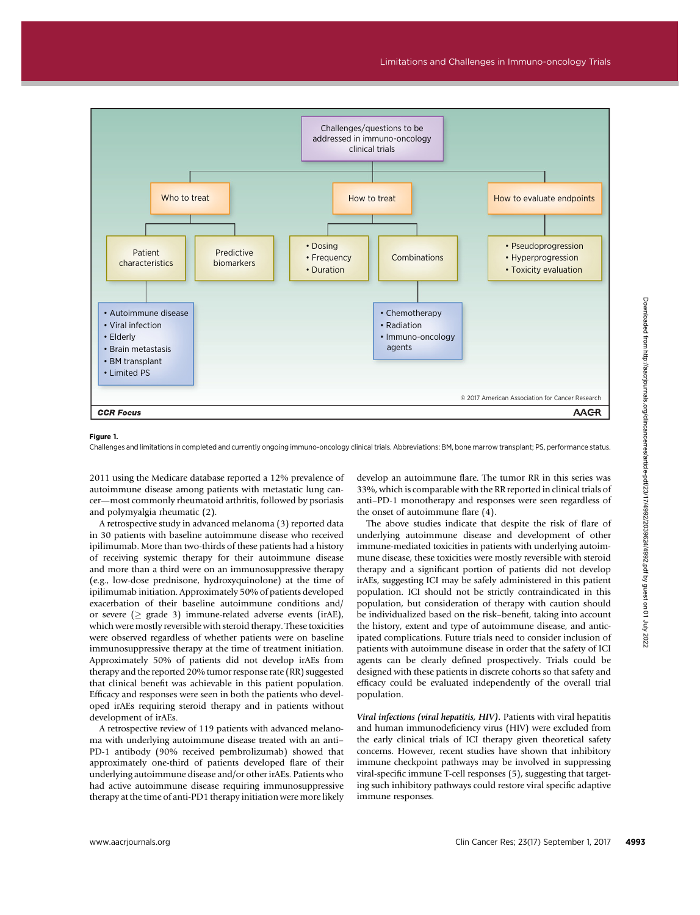

#### Figure 1.

Challenges and limitations in completed and currently ongoing immuno-oncology clinical trials. Abbreviations: BM, bone marrow transplant; PS, performance status.

2011 using the Medicare database reported a 12% prevalence of autoimmune disease among patients with metastatic lung cancer—most commonly rheumatoid arthritis, followed by psoriasis and polymyalgia rheumatic (2).

A retrospective study in advanced melanoma (3) reported data in 30 patients with baseline autoimmune disease who received ipilimumab. More than two-thirds of these patients had a history of receiving systemic therapy for their autoimmune disease and more than a third were on an immunosuppressive therapy (e.g., low-dose prednisone, hydroxyquinolone) at the time of ipilimumab initiation. Approximately 50% of patients developed exacerbation of their baseline autoimmune conditions and/ or severe ( $\geq$  grade 3) immune-related adverse events (irAE), which were mostly reversible with steroid therapy. These toxicities were observed regardless of whether patients were on baseline immunosuppressive therapy at the time of treatment initiation. Approximately 50% of patients did not develop irAEs from therapy and the reported 20% tumor response rate (RR) suggested that clinical benefit was achievable in this patient population. Efficacy and responses were seen in both the patients who developed irAEs requiring steroid therapy and in patients without development of irAEs.

A retrospective review of 119 patients with advanced melanoma with underlying autoimmune disease treated with an anti– PD-1 antibody (90% received pembrolizumab) showed that approximately one-third of patients developed flare of their underlying autoimmune disease and/or other irAEs. Patients who had active autoimmune disease requiring immunosuppressive therapy at the time of anti-PD1 therapy initiation were more likely develop an autoimmune flare. The tumor RR in this series was 33%, which is comparable with the RR reported in clinical trials of anti–PD-1 monotherapy and responses were seen regardless of the onset of autoimmune flare (4).

The above studies indicate that despite the risk of flare of underlying autoimmune disease and development of other immune-mediated toxicities in patients with underlying autoimmune disease, these toxicities were mostly reversible with steroid therapy and a significant portion of patients did not develop irAEs, suggesting ICI may be safely administered in this patient population. ICI should not be strictly contraindicated in this population, but consideration of therapy with caution should be individualized based on the risk–benefit, taking into account the history, extent and type of autoimmune disease, and anticipated complications. Future trials need to consider inclusion of patients with autoimmune disease in order that the safety of ICI agents can be clearly defined prospectively. Trials could be designed with these patients in discrete cohorts so that safety and efficacy could be evaluated independently of the overall trial population.

Viral infections (viral hepatitis, HIV). Patients with viral hepatitis and human immunodeficiency virus (HIV) were excluded from the early clinical trials of ICI therapy given theoretical safety concerns. However, recent studies have shown that inhibitory immune checkpoint pathways may be involved in suppressing viral-specific immune T-cell responses (5), suggesting that targeting such inhibitory pathways could restore viral specific adaptive immune responses.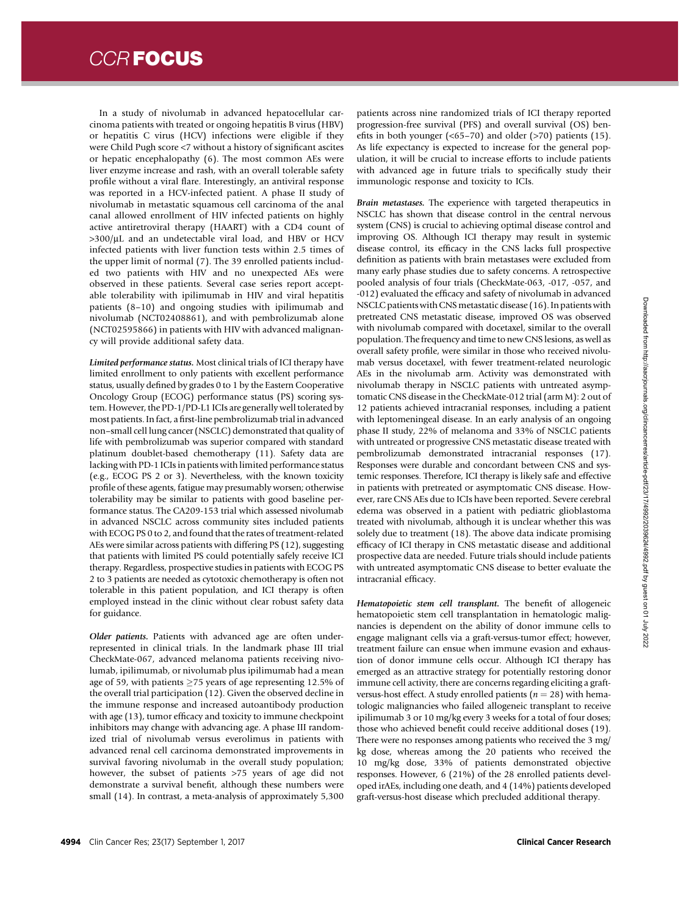In a study of nivolumab in advanced hepatocellular carcinoma patients with treated or ongoing hepatitis B virus (HBV) or hepatitis C virus (HCV) infections were eligible if they were Child Pugh score <7 without a history of significant ascites or hepatic encephalopathy (6). The most common AEs were liver enzyme increase and rash, with an overall tolerable safety profile without a viral flare. Interestingly, an antiviral response was reported in a HCV-infected patient. A phase II study of nivolumab in metastatic squamous cell carcinoma of the anal canal allowed enrollment of HIV infected patients on highly active antiretroviral therapy (HAART) with a CD4 count of  $>300/\mu L$  and an undetectable viral load, and HBV or HCV infected patients with liver function tests within 2.5 times of the upper limit of normal (7). The 39 enrolled patients included two patients with HIV and no unexpected AEs were observed in these patients. Several case series report acceptable tolerability with ipilimumab in HIV and viral hepatitis patients (8–10) and ongoing studies with ipilimumab and nivolumab (NCT02408861), and with pembrolizumab alone (NCT02595866) in patients with HIV with advanced malignancy will provide additional safety data.

Limited performance status. Most clinical trials of ICI therapy have limited enrollment to only patients with excellent performance status, usually defined by grades 0 to 1 by the Eastern Cooperative Oncology Group (ECOG) performance status (PS) scoring system. However, the PD-1/PD-L1 ICIs are generally well tolerated by most patients. In fact, a first-line pembrolizumab trial in advanced non–small cell lung cancer (NSCLC) demonstrated that quality of life with pembrolizumab was superior compared with standard platinum doublet-based chemotherapy (11). Safety data are lacking with PD-1 ICIs in patients with limited performance status (e.g., ECOG PS 2 or 3). Nevertheless, with the known toxicity profile of these agents, fatigue may presumably worsen; otherwise tolerability may be similar to patients with good baseline performance status. The CA209-153 trial which assessed nivolumab in advanced NSCLC across community sites included patients with ECOG PS 0 to 2, and found that the rates of treatment-related AEs were similar across patients with differing PS (12), suggesting that patients with limited PS could potentially safely receive ICI therapy. Regardless, prospective studies in patients with ECOG PS 2 to 3 patients are needed as cytotoxic chemotherapy is often not tolerable in this patient population, and ICI therapy is often employed instead in the clinic without clear robust safety data for guidance.

Older patients. Patients with advanced age are often underrepresented in clinical trials. In the landmark phase III trial CheckMate-067, advanced melanoma patients receiving nivolumab, ipilimumab, or nivolumab plus ipilimumab had a mean age of 59, with patients  $>75$  years of age representing 12.5% of the overall trial participation (12). Given the observed decline in the immune response and increased autoantibody production with age (13), tumor efficacy and toxicity to immune checkpoint inhibitors may change with advancing age. A phase III randomized trial of nivolumab versus everolimus in patients with advanced renal cell carcinoma demonstrated improvements in survival favoring nivolumab in the overall study population; however, the subset of patients >75 years of age did not demonstrate a survival benefit, although these numbers were small (14). In contrast, a meta-analysis of approximately 5,300 patients across nine randomized trials of ICI therapy reported progression-free survival (PFS) and overall survival (OS) benefits in both younger  $(\le 65-70)$  and older  $(\ge 70)$  patients (15). As life expectancy is expected to increase for the general population, it will be crucial to increase efforts to include patients with advanced age in future trials to specifically study their immunologic response and toxicity to ICIs.

Brain metastases. The experience with targeted therapeutics in NSCLC has shown that disease control in the central nervous system (CNS) is crucial to achieving optimal disease control and improving OS. Although ICI therapy may result in systemic disease control, its efficacy in the CNS lacks full prospective definition as patients with brain metastases were excluded from many early phase studies due to safety concerns. A retrospective pooled analysis of four trials (CheckMate-063, -017, -057, and -012) evaluated the efficacy and safety of nivolumab in advanced NSCLC patients with CNS metastatic disease (16). In patients with pretreated CNS metastatic disease, improved OS was observed with nivolumab compared with docetaxel, similar to the overall population. The frequency and time to new CNS lesions, as well as overall safety profile, were similar in those who received nivolumab versus docetaxel, with fewer treatment-related neurologic AEs in the nivolumab arm. Activity was demonstrated with nivolumab therapy in NSCLC patients with untreated asymptomatic CNS disease in the CheckMate-012 trial (arm M): 2 out of 12 patients achieved intracranial responses, including a patient with leptomeningeal disease. In an early analysis of an ongoing phase II study, 22% of melanoma and 33% of NSCLC patients with untreated or progressive CNS metastatic disease treated with pembrolizumab demonstrated intracranial responses (17). Responses were durable and concordant between CNS and systemic responses. Therefore, ICI therapy is likely safe and effective in patients with pretreated or asymptomatic CNS disease. However, rare CNS AEs due to ICIs have been reported. Severe cerebral edema was observed in a patient with pediatric glioblastoma treated with nivolumab, although it is unclear whether this was solely due to treatment (18). The above data indicate promising efficacy of ICI therapy in CNS metastatic disease and additional prospective data are needed. Future trials should include patients with untreated asymptomatic CNS disease to better evaluate the intracranial efficacy.

Hematopoietic stem cell transplant. The benefit of allogeneic hematopoietic stem cell transplantation in hematologic malignancies is dependent on the ability of donor immune cells to engage malignant cells via a graft-versus-tumor effect; however, treatment failure can ensue when immune evasion and exhaustion of donor immune cells occur. Although ICI therapy has emerged as an attractive strategy for potentially restoring donor immune cell activity, there are concerns regarding eliciting a graftversus-host effect. A study enrolled patients ( $n = 28$ ) with hematologic malignancies who failed allogeneic transplant to receive ipilimumab 3 or 10 mg/kg every 3 weeks for a total of four doses; those who achieved benefit could receive additional doses (19). There were no responses among patients who received the 3 mg/ kg dose, whereas among the 20 patients who received the 10 mg/kg dose, 33% of patients demonstrated objective responses. However, 6 (21%) of the 28 enrolled patients developed irAEs, including one death, and 4 (14%) patients developed graft-versus-host disease which precluded additional therapy.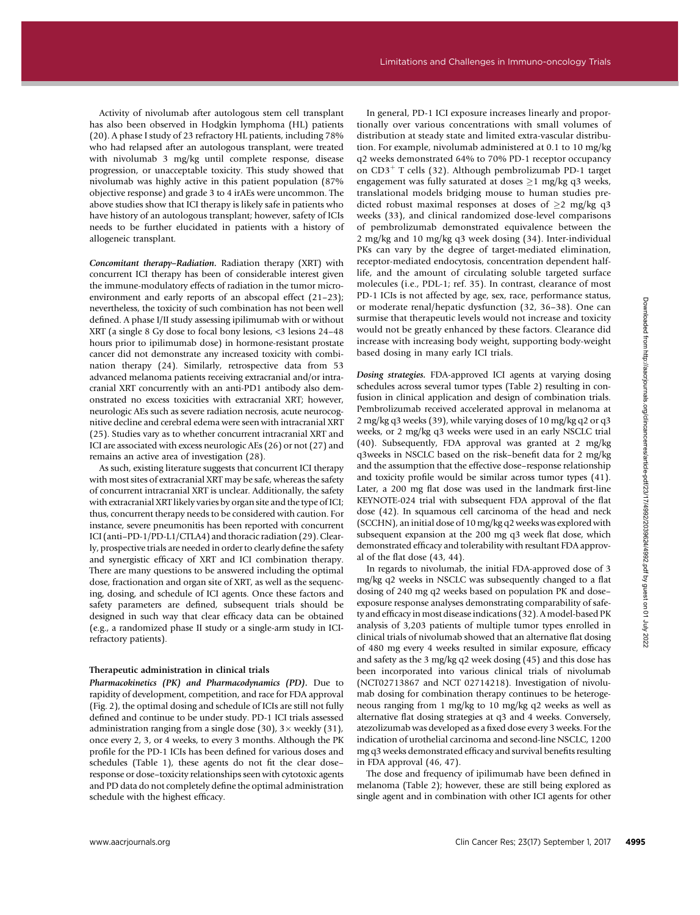Activity of nivolumab after autologous stem cell transplant has also been observed in Hodgkin lymphoma (HL) patients (20). A phase I study of 23 refractory HL patients, including 78% who had relapsed after an autologous transplant, were treated with nivolumab 3 mg/kg until complete response, disease progression, or unacceptable toxicity. This study showed that nivolumab was highly active in this patient population (87% objective response) and grade 3 to 4 irAEs were uncommon. The above studies show that ICI therapy is likely safe in patients who have history of an autologous transplant; however, safety of ICIs needs to be further elucidated in patients with a history of allogeneic transplant.

Concomitant therapy–Radiation. Radiation therapy (XRT) with concurrent ICI therapy has been of considerable interest given the immune-modulatory effects of radiation in the tumor microenvironment and early reports of an abscopal effect (21–23); nevertheless, the toxicity of such combination has not been well defined. A phase I/II study assessing ipilimumab with or without XRT (a single 8 Gy dose to focal bony lesions, <3 lesions 24–48 hours prior to ipilimumab dose) in hormone-resistant prostate cancer did not demonstrate any increased toxicity with combination therapy (24). Similarly, retrospective data from 53 advanced melanoma patients receiving extracranial and/or intracranial XRT concurrently with an anti-PD1 antibody also demonstrated no excess toxicities with extracranial XRT; however, neurologic AEs such as severe radiation necrosis, acute neurocognitive decline and cerebral edema were seen with intracranial XRT (25). Studies vary as to whether concurrent intracranial XRT and ICI are associated with excess neurologic AEs (26) or not (27) and remains an active area of investigation (28).

As such, existing literature suggests that concurrent ICI therapy with most sites of extracranial XRT may be safe, whereas the safety of concurrent intracranial XRT is unclear. Additionally, the safety with extracranial XRT likely varies by organ site and the type of ICI; thus, concurrent therapy needs to be considered with caution. For instance, severe pneumonitis has been reported with concurrent ICI (anti–PD-1/PD-L1/CTLA4) and thoracic radiation (29). Clearly, prospective trials are needed in order to clearly define the safety and synergistic efficacy of XRT and ICI combination therapy. There are many questions to be answered including the optimal dose, fractionation and organ site of XRT, as well as the sequencing, dosing, and schedule of ICI agents. Once these factors and safety parameters are defined, subsequent trials should be designed in such way that clear efficacy data can be obtained (e.g., a randomized phase II study or a single-arm study in ICIrefractory patients).

#### Therapeutic administration in clinical trials

Pharmacokinetics (PK) and Pharmacodynamics (PD). Due to rapidity of development, competition, and race for FDA approval (Fig. 2), the optimal dosing and schedule of ICIs are still not fully defined and continue to be under study. PD-1 ICI trials assessed administration ranging from a single dose (30),  $3 \times$  weekly (31), once every 2, 3, or 4 weeks, to every 3 months. Although the PK profile for the PD-1 ICIs has been defined for various doses and schedules (Table 1), these agents do not fit the clear dose– response or dose–toxicity relationships seen with cytotoxic agents and PD data do not completely define the optimal administration schedule with the highest efficacy.

In general, PD-1 ICI exposure increases linearly and proportionally over various concentrations with small volumes of distribution at steady state and limited extra-vascular distribution. For example, nivolumab administered at 0.1 to 10 mg/kg q2 weeks demonstrated 64% to 70% PD-1 receptor occupancy on  $CD3<sup>+</sup>$  T cells (32). Although pembrolizumab PD-1 target engagement was fully saturated at doses  $\geq$ 1 mg/kg q3 weeks, translational models bridging mouse to human studies predicted robust maximal responses at doses of  $\geq 2$  mg/kg q3 weeks (33), and clinical randomized dose-level comparisons of pembrolizumab demonstrated equivalence between the 2 mg/kg and 10 mg/kg q3 week dosing (34). Inter-individual PKs can vary by the degree of target-mediated elimination, receptor-mediated endocytosis, concentration dependent halflife, and the amount of circulating soluble targeted surface molecules (i.e., PDL-1; ref. 35). In contrast, clearance of most PD-1 ICIs is not affected by age, sex, race, performance status, or moderate renal/hepatic dysfunction (32, 36–38). One can surmise that therapeutic levels would not increase and toxicity would not be greatly enhanced by these factors. Clearance did increase with increasing body weight, supporting body-weight based dosing in many early ICI trials.

Dosing strategies. FDA-approved ICI agents at varying dosing schedules across several tumor types (Table 2) resulting in confusion in clinical application and design of combination trials. Pembrolizumab received accelerated approval in melanoma at 2 mg/kg q3 weeks (39), while varying doses of 10 mg/kg q2 or q3 weeks, or 2 mg/kg q3 weeks were used in an early NSCLC trial (40). Subsequently, FDA approval was granted at 2 mg/kg q3weeks in NSCLC based on the risk–benefit data for 2 mg/kg and the assumption that the effective dose–response relationship and toxicity profile would be similar across tumor types (41). Later, a 200 mg flat dose was used in the landmark first-line KEYNOTE-024 trial with subsequent FDA approval of the flat dose (42). In squamous cell carcinoma of the head and neck (SCCHN), an initial dose of 10 mg/kg q2 weeks was explored with subsequent expansion at the 200 mg q3 week flat dose, which demonstrated efficacy and tolerability with resultant FDA approval of the flat dose (43, 44).

In regards to nivolumab, the initial FDA-approved dose of 3 mg/kg q2 weeks in NSCLC was subsequently changed to a flat dosing of 240 mg q2 weeks based on population PK and dose– exposure response analyses demonstrating comparability of safety and efficacy in most disease indications (32). A model-based PK analysis of 3,203 patients of multiple tumor types enrolled in clinical trials of nivolumab showed that an alternative flat dosing of 480 mg every 4 weeks resulted in similar exposure, efficacy and safety as the 3 mg/kg q2 week dosing (45) and this dose has been incorporated into various clinical trials of nivolumab (NCT02713867 and NCT 02714218). Investigation of nivolumab dosing for combination therapy continues to be heterogeneous ranging from 1 mg/kg to 10 mg/kg q2 weeks as well as alternative flat dosing strategies at q3 and 4 weeks. Conversely, atezolizumab was developed as a fixed dose every 3 weeks. For the indication of urothelial carcinoma and second-line NSCLC, 1200 mg q3 weeks demonstrated efficacy and survival benefits resulting in FDA approval (46, 47). needed to controllate the methods in the species of the client controlled from her species of the controlled from her species of the controlled from her species to provide the species of the controlled from her species to

The dose and frequency of ipilimumab have been defined in melanoma (Table 2); however, these are still being explored as single agent and in combination with other ICI agents for other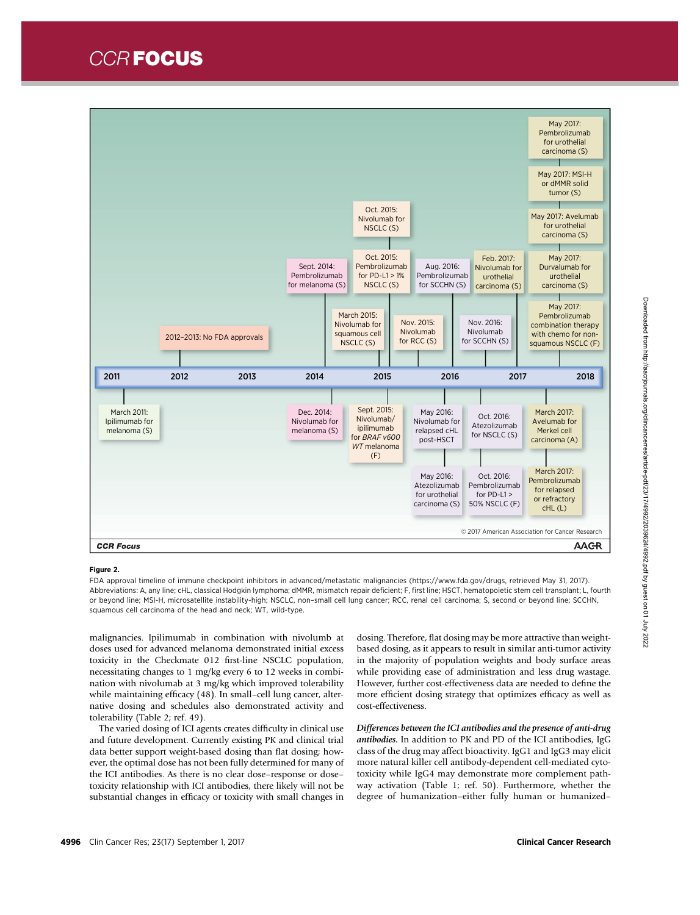CCR FOCUS



#### Figure 2.

FDA approval timeline of immune checkpoint inhibitors in advanced/metastatic malignancies [\(https://www.fda.gov/drugs](https://www.fda.gov/drugs), retrieved May 31, 2017). Abbreviations: A, any line; cHL, classical Hodgkin lymphoma; dMMR, mismatch repair deficient; F, first line; HSCT, hematopoietic stem cell transplant; L, fourth or beyond line; MSI-H, microsatellite instability-high; NSCLC, non–small cell lung cancer; RCC, renal cell carcinoma; S, second or beyond line; SCCHN, squamous cell carcinoma of the head and neck; WT, wild-type.

malignancies. Ipilimumab in combination with nivolumb at doses used for advanced melanoma demonstrated initial excess toxicity in the Checkmate 012 first-line NSCLC population, necessitating changes to 1 mg/kg every 6 to 12 weeks in combination with nivolumab at 3 mg/kg which improved tolerability while maintaining efficacy (48). In small–cell lung cancer, alternative dosing and schedules also demonstrated activity and tolerability (Table 2; ref. 49).

The varied dosing of ICI agents creates difficulty in clinical use and future development. Currently existing PK and clinical trial data better support weight-based dosing than flat dosing; however, the optimal dose has not been fully determined for many of the ICI antibodies. As there is no clear dose–response or dose– toxicity relationship with ICI antibodies, there likely will not be substantial changes in efficacy or toxicity with small changes in

dosing. Therefore, flat dosing may be more attractive than weightbased dosing, as it appears to result in similar anti-tumor activity in the majority of population weights and body surface areas while providing ease of administration and less drug wastage. However, further cost-effectiveness data are needed to define the more efficient dosing strategy that optimizes efficacy as well as cost-effectiveness.

Differences between the ICI antibodies and the presence of anti-drug antibodies. In addition to PK and PD of the ICI antibodies, IgG class of the drug may affect bioactivity. IgG1 and IgG3 may elicit more natural killer cell antibody-dependent cell-mediated cytotoxicity while IgG4 may demonstrate more complement pathway activation (Table 1; ref. 50). Furthermore, whether the degree of humanization–either fully human or humanized–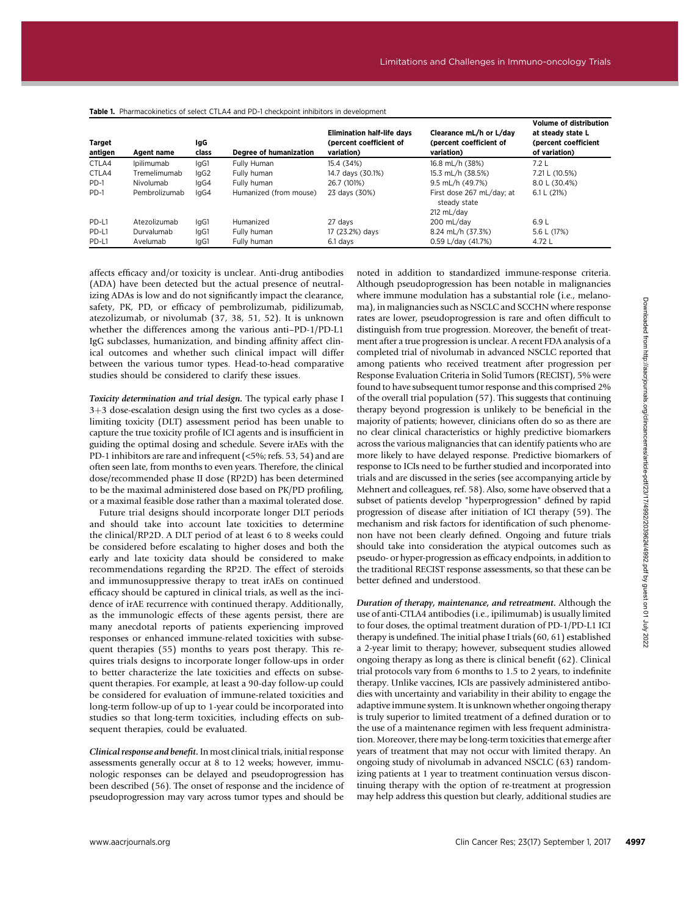| Target<br>antigen | Agent name    | IgG<br>class | Degree of humanization | <b>Elimination half-life davs</b><br>(percent coefficient of<br>variation) | Clearance mL/h or L/day<br>(percent coefficient of<br>variation) | <b>Volume of distribution</b><br>at steady state L<br>(percent coefficient<br>of variation) |
|-------------------|---------------|--------------|------------------------|----------------------------------------------------------------------------|------------------------------------------------------------------|---------------------------------------------------------------------------------------------|
| CTLA4             | Ipilimumab    | IgG1         | Fully Human            | 15.4 (34%)                                                                 | 16.8 mL/h (38%)                                                  | 7.2L                                                                                        |
| CTLA4             | Tremelimumab  | lgG2         | Fully human            | 14.7 days (30.1%)                                                          | 15.3 mL/h (38.5%)                                                | 7.21 L (10.5%)                                                                              |
| PD-1              | Nivolumab     | IgG4         | Fully human            | 26.7 (101%)                                                                | 9.5 mL/h (49.7%)                                                 | 8.0 L (30.4%)                                                                               |
| PD-1              | Pembrolizumab | laG4         | Humanized (from mouse) | 23 days (30%)                                                              | First dose 267 mL/day: at<br>steady state                        | 6.1 L $(21%)$                                                                               |
|                   |               |              |                        |                                                                            | $212 \text{ mL/day}$                                             |                                                                                             |
| PD-L1             | Atezolizumab  | IgG1         | Humanized              | 27 days                                                                    | 200 mL/day                                                       | 6.9L                                                                                        |
| PD-L1             | Durvalumab    | IgG1         | Fully human            | 17 (23.2%) days                                                            | 8.24 mL/h (37.3%)                                                | 5.6 L (17%)                                                                                 |
| PD-L1             | Avelumab      | lgG1         | Fully human            | 6.1 davs                                                                   | 0.59 L/day (41.7%)                                               | 4.72 L                                                                                      |

#### Table 1. Pharmacokinetics of select CTLA4 and PD-1 checkpoint inhibitors in development

affects efficacy and/or toxicity is unclear. Anti-drug antibodies (ADA) have been detected but the actual presence of neutralizing ADAs is low and do not significantly impact the clearance, safety, PK, PD, or efficacy of pembrolizumab, pidilizumab, atezolizumab, or nivolumab (37, 38, 51, 52). It is unknown whether the differences among the various anti–PD-1/PD-L1 IgG subclasses, humanization, and binding affinity affect clinical outcomes and whether such clinical impact will differ between the various tumor types. Head-to-head comparative studies should be considered to clarify these issues.

Toxicity determination and trial design. The typical early phase I  $3+3$  dose-escalation design using the first two cycles as a doselimiting toxicity (DLT) assessment period has been unable to capture the true toxicity profile of ICI agents and is insufficient in guiding the optimal dosing and schedule. Severe irAEs with the PD-1 inhibitors are rare and infrequent (<5%; refs. 53, 54) and are often seen late, from months to even years. Therefore, the clinical dose/recommended phase II dose (RP2D) has been determined to be the maximal administered dose based on PK/PD profiling, or a maximal feasible dose rather than a maximal tolerated dose.

Future trial designs should incorporate longer DLT periods and should take into account late toxicities to determine the clinical/RP2D. A DLT period of at least 6 to 8 weeks could be considered before escalating to higher doses and both the early and late toxicity data should be considered to make recommendations regarding the RP2D. The effect of steroids and immunosuppressive therapy to treat irAEs on continued efficacy should be captured in clinical trials, as well as the incidence of irAE recurrence with continued therapy. Additionally, as the immunologic effects of these agents persist, there are many anecdotal reports of patients experiencing improved responses or enhanced immune-related toxicities with subsequent therapies (55) months to years post therapy. This requires trials designs to incorporate longer follow-ups in order to better characterize the late toxicities and effects on subsequent therapies. For example, at least a 90-day follow-up could be considered for evaluation of immune-related toxicities and long-term follow-up of up to 1-year could be incorporated into studies so that long-term toxicities, including effects on subsequent therapies, could be evaluated.

Clinical response and benefit. In most clinical trials, initial response assessments generally occur at 8 to 12 weeks; however, immunologic responses can be delayed and pseudoprogression has been described (56). The onset of response and the incidence of pseudoprogression may vary across tumor types and should be noted in addition to standardized immune-response criteria. Although pseudoprogression has been notable in malignancies where immune modulation has a substantial role (i.e., melanoma), in malignancies such as NSCLC and SCCHN where response rates are lower, pseudoprogression is rare and often difficult to distinguish from true progression. Moreover, the benefit of treatment after a true progression is unclear. A recent FDA analysis of a completed trial of nivolumab in advanced NSCLC reported that among patients who received treatment after progression per Response Evaluation Criteria in Solid Tumors (RECIST), 5% were found to have subsequent tumor response and this comprised 2% of the overall trial population (57). This suggests that continuing therapy beyond progression is unlikely to be beneficial in the majority of patients; however, clinicians often do so as there are no clear clinical characteristics or highly predictive biomarkers across the various malignancies that can identify patients who are more likely to have delayed response. Predictive biomarkers of response to ICIs need to be further studied and incorporated into trials and are discussed in the series (see accompanying article by Mehnert and colleagues, ref. 58). Also, some have observed that a subset of patients develop "hyperprogression" defined by rapid progression of disease after initiation of ICI therapy (59). The mechanism and risk factors for identification of such phenomenon have not been clearly defined. Ongoing and future trials should take into consideration the atypical outcomes such as pseudo- or hyper-progression as efficacy endpoints, in addition to the traditional RECIST response assessments, so that these can be better defined and understood.

Duration of therapy, maintenance, and retreatment. Although the use of anti-CTLA4 antibodies (i.e., ipilimumab) is usually limited to four doses, the optimal treatment duration of PD-1/PD-L1 ICI therapy is undefined. The initial phase I trials (60, 61) established a 2-year limit to therapy; however, subsequent studies allowed ongoing therapy as long as there is clinical benefit (62). Clinical trial protocols vary from 6 months to 1.5 to 2 years, to indefinite therapy. Unlike vaccines, ICIs are passively administered antibodies with uncertainty and variability in their ability to engage the adaptive immune system. It is unknown whether ongoing therapy is truly superior to limited treatment of a defined duration or to the use of a maintenance regimen with less frequent administration. Moreover, there may be long-term toxicities that emerge after years of treatment that may not occur with limited therapy. An ongoing study of nivolumab in advanced NSCLC (63) randomizing patients at 1 year to treatment continuation versus discontinuing therapy with the option of re-treatment at progression may help address this question but clearly, additional studies are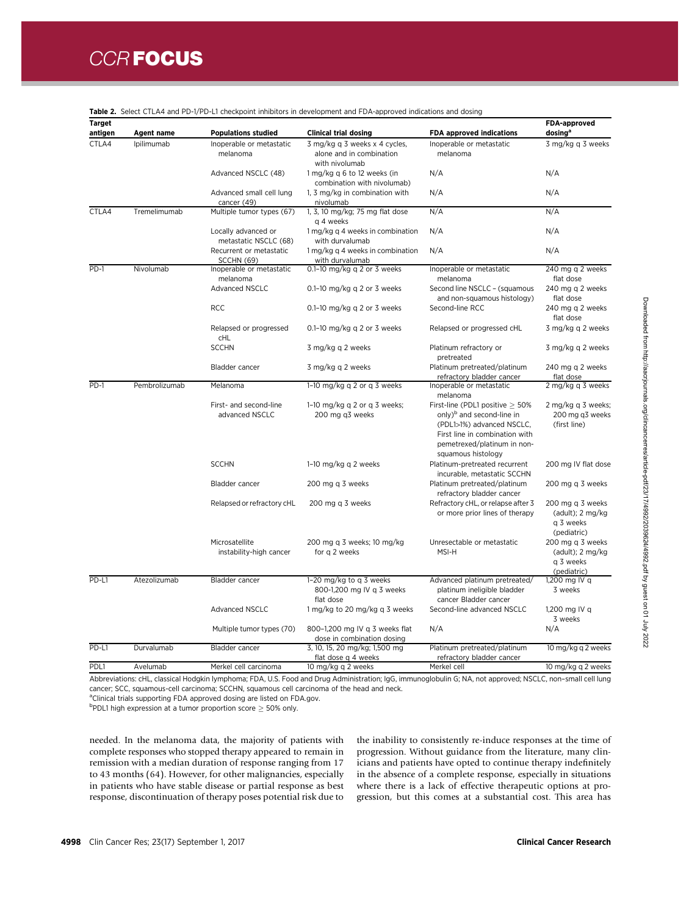| Target<br>antigen | Agent name    | <b>Populations studied</b>                   | <b>Clinical trial dosing</b>                                                | <b>FDA approved indications</b>                                                                                                                                                                    | FDA-approved<br>dosing <sup>a</sup>                                        |
|-------------------|---------------|----------------------------------------------|-----------------------------------------------------------------------------|----------------------------------------------------------------------------------------------------------------------------------------------------------------------------------------------------|----------------------------------------------------------------------------|
| CTLA4             | Ipilimumab    | Inoperable or metastatic<br>melanoma         | 3 mg/kg q 3 weeks x 4 cycles,<br>alone and in combination<br>with nivolumab | Inoperable or metastatic<br>melanoma                                                                                                                                                               | 3 mg/kg q 3 weeks                                                          |
|                   |               | Advanced NSCLC (48)                          | 1 mg/kg q 6 to 12 weeks (in<br>combination with nivolumab)                  | N/A                                                                                                                                                                                                | N/A                                                                        |
|                   |               | Advanced small cell lung<br>cancer (49)      | 1, 3 mg/kg in combination with<br>nivolumab                                 | N/A                                                                                                                                                                                                | N/A                                                                        |
| CTLA4             | Tremelimumab  | Multiple tumor types (67)                    | 1, 3, 10 mg/kg; 75 mg flat dose<br>g 4 weeks                                | N/A                                                                                                                                                                                                | N/A                                                                        |
|                   |               | Locally advanced or<br>metastatic NSCLC (68) | 1 mg/kg q 4 weeks in combination<br>with durvalumab                         | N/A                                                                                                                                                                                                | N/A                                                                        |
|                   |               | Recurrent or metastatic<br>SCCHN (69)        | 1 mg/kg q 4 weeks in combination<br>with durvalumab                         | N/A                                                                                                                                                                                                | N/A                                                                        |
| $PD-1$            | Nivolumab     | Inoperable or metastatic                     | 0.1-10 mg/kg q 2 or 3 weeks                                                 | Inoperable or metastatic                                                                                                                                                                           | 240 mg q 2 weeks                                                           |
|                   |               | melanoma<br><b>Advanced NSCLC</b>            | 0.1-10 mg/kg q 2 or 3 weeks                                                 | melanoma<br>Second line NSCLC - (squamous<br>and non-squamous histology)                                                                                                                           | flat dose<br>240 mg q 2 weeks<br>flat dose                                 |
|                   |               | <b>RCC</b>                                   | 0.1-10 mg/kg q 2 or 3 weeks                                                 | Second-line RCC                                                                                                                                                                                    | 240 mg q 2 weeks<br>flat dose                                              |
|                   |               | Relapsed or progressed<br>CHL                | 0.1-10 mg/kg q 2 or 3 weeks                                                 | Relapsed or progressed cHL                                                                                                                                                                         | 3 mg/kg q 2 weeks                                                          |
|                   |               | <b>SCCHN</b>                                 | 3 mg/kg q 2 weeks                                                           | Platinum refractory or<br>pretreated                                                                                                                                                               | 3 mg/kg q 2 weeks                                                          |
|                   |               | Bladder cancer                               | 3 mg/kg q 2 weeks                                                           | Platinum pretreated/platinum<br>refractory bladder cancer                                                                                                                                          | 240 mg q 2 weeks<br>flat dose                                              |
| PD-1              | Pembrolizumab | Melanoma                                     | 1-10 mg/kg q 2 or q 3 weeks                                                 | Inoperable or metastatic<br>melanoma                                                                                                                                                               | 2 mg/kg q 3 weeks                                                          |
|                   |               | First- and second-line<br>advanced NSCLC     | 1-10 mg/kg q 2 or q 3 weeks;<br>200 mg q3 weeks                             | First-line (PDL1 positive $\geq 50\%$<br>only) <sup>b</sup> and second-line in<br>(PDL1>1%) advanced NSCLC,<br>First line in combination with<br>pemetrexed/platinum in non-<br>squamous histology | 2 mg/kg q 3 weeks;<br>200 mg q3 weeks<br>(first line)                      |
|                   |               | <b>SCCHN</b>                                 | 1-10 mg/kg q 2 weeks                                                        | Platinum-pretreated recurrent<br>incurable, metastatic SCCHN                                                                                                                                       | 200 mg IV flat dose                                                        |
|                   |               | Bladder cancer                               | 200 mg q 3 weeks                                                            | Platinum pretreated/platinum<br>refractory bladder cancer                                                                                                                                          | 200 mg q 3 weeks                                                           |
|                   |               | Relapsed or refractory cHL                   | 200 mg q 3 weeks                                                            | Refractory cHL, or relapse after 3<br>or more prior lines of therapy                                                                                                                               | 200 mg q 3 weeks<br>(adult); 2 mg/kg<br>g 3 weeks<br>(pediatric)           |
|                   |               | Microsatellite<br>instability-high cancer    | 200 mg q 3 weeks; 10 mg/kg<br>for q 2 weeks                                 | Unresectable or metastatic<br>MSI-H                                                                                                                                                                | 200 mg q 3 weeks<br>(adult); $2 \text{ mg/kg}$<br>g 3 weeks<br>(pediatric) |
| PD-L1             | Atezolizumab  | Bladder cancer                               | 1-20 mg/kg to g 3 weeks<br>800-1,200 mg IV q 3 weeks<br>flat dose           | Advanced platinum pretreated/<br>platinum ineligible bladder<br>cancer Bladder cancer                                                                                                              | 1,200 mg IV q<br>3 weeks                                                   |
|                   |               | <b>Advanced NSCLC</b>                        | 1 mg/kg to 20 mg/kg q 3 weeks                                               | Second-line advanced NSCLC                                                                                                                                                                         | 1,200 mg IV q<br>3 weeks                                                   |
|                   |               | Multiple tumor types (70)                    | 800-1,200 mg IV q 3 weeks flat<br>dose in combination dosing                | N/A                                                                                                                                                                                                | N/A                                                                        |
| PD-L1             | Durvalumab    | Bladder cancer                               | 3, 10, 15, 20 mg/kg; 1,500 mg<br>flat dose q 4 weeks                        | Platinum pretreated/platinum<br>refractory bladder cancer                                                                                                                                          | 10 mg/kg q 2 weeks                                                         |
| PDL <sub>1</sub>  | Avelumab      | Merkel cell carcinoma                        | 10 mg/kg q 2 weeks                                                          | Merkel cell                                                                                                                                                                                        | 10 mg/kg q 2 weeks                                                         |

Table 2. Select CTLA4 and PD-1/PD-L1 checkpoint inhibitors in development and FDA-approved indications and dosing

Abbreviations: cHL, classical Hodgkin lymphoma; FDA, U.S. Food and Drug Administration; IgG, immunoglobulin G; NA, not approved; NSCLC, non–small cell lung cancer; SCC, squamous-cell carcinoma; SCCHN, squamous cell carcinoma of the head and neck.

<sup>a</sup>Clinical trials supporting FDA approved dosing are listed on FDA.gov.

 $\text{^{b}PDL1}$  high expression at a tumor proportion score  $\geq 50\%$  only.

needed. In the melanoma data, the majority of patients with complete responses who stopped therapy appeared to remain in remission with a median duration of response ranging from 17 to 43 months (64). However, for other malignancies, especially in patients who have stable disease or partial response as best response, discontinuation of therapy poses potential risk due to

the inability to consistently re-induce responses at the time of progression. Without guidance from the literature, many clinicians and patients have opted to continue therapy indefinitely in the absence of a complete response, especially in situations where there is a lack of effective therapeutic options at progression, but this comes at a substantial cost. This area has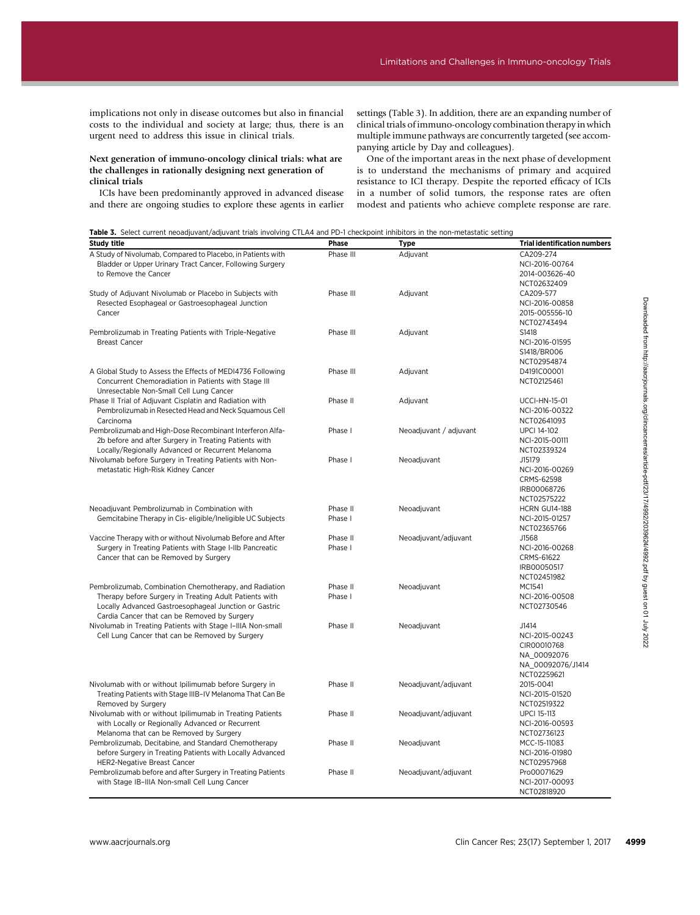implications not only in disease outcomes but also in financial costs to the individual and society at large; thus, there is an urgent need to address this issue in clinical trials.

#### Next generation of immuno-oncology clinical trials: what are the challenges in rationally designing next generation of clinical trials

ICIs have been predominantly approved in advanced disease and there are ongoing studies to explore these agents in earlier

settings (Table 3). In addition, there are an expanding number of clinical trials of immuno-oncology combination therapy in which multiple immune pathways are concurrently targeted (see accompanying article by Day and colleagues).

One of the important areas in the next phase of development is to understand the mechanisms of primary and acquired resistance to ICI therapy. Despite the reported efficacy of ICIs in a number of solid tumors, the response rates are often modest and patients who achieve complete response are rare.

|  |  |  |  |  | Table 3. Select current neoadjuvant/adjuvant trials involving CTLA4 and PD-1 checkpoint inhibitors in the non-metastatic setting |
|--|--|--|--|--|----------------------------------------------------------------------------------------------------------------------------------|
|--|--|--|--|--|----------------------------------------------------------------------------------------------------------------------------------|

| A Study of Nivolumab, Compared to Placebo, in Patients with<br>Bladder or Upper Urinary Tract Cancer, Following Surgery<br>to Remove the Cancer<br>Study of Adjuvant Nivolumab or Placebo in Subjects with<br>Resected Esophageal or Gastroesophageal Junction<br>Cancer<br>Pembrolizumab in Treating Patients with Triple-Negative<br><b>Breast Cancer</b><br>A Global Study to Assess the Effects of MEDI4736 Following<br>Concurrent Chemoradiation in Patients with Stage III<br>Unresectable Non-Small Cell Lung Cancer<br>Phase II Trial of Adjuvant Cisplatin and Radiation with<br>Pembrolizumab in Resected Head and Neck Squamous Cell<br>Carcinoma<br>Pembrolizumab and High-Dose Recombinant Interferon Alfa-<br>2b before and after Surgery in Treating Patients with<br>Locally/Regionally Advanced or Recurrent Melanoma<br>Nivolumab before Surgery in Treating Patients with Non-<br>metastatic High-Risk Kidney Cancer<br>Neoadjuvant Pembrolizumab in Combination with<br>Gemcitabine Therapy in Cis-eligible/Ineligible UC Subjects<br>Vaccine Therapy with or without Nivolumab Before and After<br>Surgery in Treating Patients with Stage I-IIb Pancreatic<br>Cancer that can be Removed by Surgery | Phase III<br>Phase III<br>Phase III<br>Phase III<br>Phase II<br>Phase I<br>Phase I<br>Phase II<br>Phase I<br>Phase II<br>Phase I | Adjuvant<br>Adjuvant<br>Adjuvant<br>Adjuvant<br>Adjuvant<br>Neoadjuvant / adjuvant<br>Neoadjuvant<br>Neoadjuvant<br>Neoadjuvant/adjuvant | CA209-274<br>NCI-2016-00764<br>2014-003626-40<br>NCT02632409<br>CA209-577<br>NCI-2016-00858<br>2015-005556-10<br>NCT02743494<br>S1418<br>NCI-2016-01595<br>S1418/BR006<br>NCT02954874<br>D4191C00001<br>NCT02125461<br><b>UCCI-HN-15-01</b><br>NCI-2016-00322<br>NCT02641093<br><b>UPCI 14-102</b><br>NCI-2015-00111<br>NCT02339324<br>J15179<br>NCI-2016-00269<br>CRMS-62598<br>IRB00068726<br>NCT02575222<br><b>HCRN GU14-188</b><br>NCI-2015-01257<br>NCT02365766<br>J1568 |
|----------------------------------------------------------------------------------------------------------------------------------------------------------------------------------------------------------------------------------------------------------------------------------------------------------------------------------------------------------------------------------------------------------------------------------------------------------------------------------------------------------------------------------------------------------------------------------------------------------------------------------------------------------------------------------------------------------------------------------------------------------------------------------------------------------------------------------------------------------------------------------------------------------------------------------------------------------------------------------------------------------------------------------------------------------------------------------------------------------------------------------------------------------------------------------------------------------------------------|----------------------------------------------------------------------------------------------------------------------------------|------------------------------------------------------------------------------------------------------------------------------------------|-------------------------------------------------------------------------------------------------------------------------------------------------------------------------------------------------------------------------------------------------------------------------------------------------------------------------------------------------------------------------------------------------------------------------------------------------------------------------------|
|                                                                                                                                                                                                                                                                                                                                                                                                                                                                                                                                                                                                                                                                                                                                                                                                                                                                                                                                                                                                                                                                                                                                                                                                                            |                                                                                                                                  |                                                                                                                                          |                                                                                                                                                                                                                                                                                                                                                                                                                                                                               |
|                                                                                                                                                                                                                                                                                                                                                                                                                                                                                                                                                                                                                                                                                                                                                                                                                                                                                                                                                                                                                                                                                                                                                                                                                            |                                                                                                                                  |                                                                                                                                          |                                                                                                                                                                                                                                                                                                                                                                                                                                                                               |
|                                                                                                                                                                                                                                                                                                                                                                                                                                                                                                                                                                                                                                                                                                                                                                                                                                                                                                                                                                                                                                                                                                                                                                                                                            |                                                                                                                                  |                                                                                                                                          |                                                                                                                                                                                                                                                                                                                                                                                                                                                                               |
|                                                                                                                                                                                                                                                                                                                                                                                                                                                                                                                                                                                                                                                                                                                                                                                                                                                                                                                                                                                                                                                                                                                                                                                                                            |                                                                                                                                  |                                                                                                                                          |                                                                                                                                                                                                                                                                                                                                                                                                                                                                               |
|                                                                                                                                                                                                                                                                                                                                                                                                                                                                                                                                                                                                                                                                                                                                                                                                                                                                                                                                                                                                                                                                                                                                                                                                                            |                                                                                                                                  |                                                                                                                                          |                                                                                                                                                                                                                                                                                                                                                                                                                                                                               |
|                                                                                                                                                                                                                                                                                                                                                                                                                                                                                                                                                                                                                                                                                                                                                                                                                                                                                                                                                                                                                                                                                                                                                                                                                            |                                                                                                                                  |                                                                                                                                          |                                                                                                                                                                                                                                                                                                                                                                                                                                                                               |
|                                                                                                                                                                                                                                                                                                                                                                                                                                                                                                                                                                                                                                                                                                                                                                                                                                                                                                                                                                                                                                                                                                                                                                                                                            |                                                                                                                                  |                                                                                                                                          |                                                                                                                                                                                                                                                                                                                                                                                                                                                                               |
|                                                                                                                                                                                                                                                                                                                                                                                                                                                                                                                                                                                                                                                                                                                                                                                                                                                                                                                                                                                                                                                                                                                                                                                                                            |                                                                                                                                  |                                                                                                                                          |                                                                                                                                                                                                                                                                                                                                                                                                                                                                               |
|                                                                                                                                                                                                                                                                                                                                                                                                                                                                                                                                                                                                                                                                                                                                                                                                                                                                                                                                                                                                                                                                                                                                                                                                                            |                                                                                                                                  |                                                                                                                                          |                                                                                                                                                                                                                                                                                                                                                                                                                                                                               |
|                                                                                                                                                                                                                                                                                                                                                                                                                                                                                                                                                                                                                                                                                                                                                                                                                                                                                                                                                                                                                                                                                                                                                                                                                            |                                                                                                                                  |                                                                                                                                          |                                                                                                                                                                                                                                                                                                                                                                                                                                                                               |
|                                                                                                                                                                                                                                                                                                                                                                                                                                                                                                                                                                                                                                                                                                                                                                                                                                                                                                                                                                                                                                                                                                                                                                                                                            |                                                                                                                                  |                                                                                                                                          |                                                                                                                                                                                                                                                                                                                                                                                                                                                                               |
|                                                                                                                                                                                                                                                                                                                                                                                                                                                                                                                                                                                                                                                                                                                                                                                                                                                                                                                                                                                                                                                                                                                                                                                                                            |                                                                                                                                  |                                                                                                                                          |                                                                                                                                                                                                                                                                                                                                                                                                                                                                               |
|                                                                                                                                                                                                                                                                                                                                                                                                                                                                                                                                                                                                                                                                                                                                                                                                                                                                                                                                                                                                                                                                                                                                                                                                                            |                                                                                                                                  |                                                                                                                                          |                                                                                                                                                                                                                                                                                                                                                                                                                                                                               |
|                                                                                                                                                                                                                                                                                                                                                                                                                                                                                                                                                                                                                                                                                                                                                                                                                                                                                                                                                                                                                                                                                                                                                                                                                            |                                                                                                                                  |                                                                                                                                          |                                                                                                                                                                                                                                                                                                                                                                                                                                                                               |
|                                                                                                                                                                                                                                                                                                                                                                                                                                                                                                                                                                                                                                                                                                                                                                                                                                                                                                                                                                                                                                                                                                                                                                                                                            |                                                                                                                                  |                                                                                                                                          |                                                                                                                                                                                                                                                                                                                                                                                                                                                                               |
|                                                                                                                                                                                                                                                                                                                                                                                                                                                                                                                                                                                                                                                                                                                                                                                                                                                                                                                                                                                                                                                                                                                                                                                                                            |                                                                                                                                  |                                                                                                                                          |                                                                                                                                                                                                                                                                                                                                                                                                                                                                               |
|                                                                                                                                                                                                                                                                                                                                                                                                                                                                                                                                                                                                                                                                                                                                                                                                                                                                                                                                                                                                                                                                                                                                                                                                                            |                                                                                                                                  |                                                                                                                                          |                                                                                                                                                                                                                                                                                                                                                                                                                                                                               |
|                                                                                                                                                                                                                                                                                                                                                                                                                                                                                                                                                                                                                                                                                                                                                                                                                                                                                                                                                                                                                                                                                                                                                                                                                            |                                                                                                                                  |                                                                                                                                          |                                                                                                                                                                                                                                                                                                                                                                                                                                                                               |
|                                                                                                                                                                                                                                                                                                                                                                                                                                                                                                                                                                                                                                                                                                                                                                                                                                                                                                                                                                                                                                                                                                                                                                                                                            |                                                                                                                                  |                                                                                                                                          |                                                                                                                                                                                                                                                                                                                                                                                                                                                                               |
|                                                                                                                                                                                                                                                                                                                                                                                                                                                                                                                                                                                                                                                                                                                                                                                                                                                                                                                                                                                                                                                                                                                                                                                                                            |                                                                                                                                  |                                                                                                                                          |                                                                                                                                                                                                                                                                                                                                                                                                                                                                               |
|                                                                                                                                                                                                                                                                                                                                                                                                                                                                                                                                                                                                                                                                                                                                                                                                                                                                                                                                                                                                                                                                                                                                                                                                                            |                                                                                                                                  |                                                                                                                                          |                                                                                                                                                                                                                                                                                                                                                                                                                                                                               |
|                                                                                                                                                                                                                                                                                                                                                                                                                                                                                                                                                                                                                                                                                                                                                                                                                                                                                                                                                                                                                                                                                                                                                                                                                            |                                                                                                                                  |                                                                                                                                          |                                                                                                                                                                                                                                                                                                                                                                                                                                                                               |
|                                                                                                                                                                                                                                                                                                                                                                                                                                                                                                                                                                                                                                                                                                                                                                                                                                                                                                                                                                                                                                                                                                                                                                                                                            |                                                                                                                                  |                                                                                                                                          |                                                                                                                                                                                                                                                                                                                                                                                                                                                                               |
|                                                                                                                                                                                                                                                                                                                                                                                                                                                                                                                                                                                                                                                                                                                                                                                                                                                                                                                                                                                                                                                                                                                                                                                                                            |                                                                                                                                  |                                                                                                                                          |                                                                                                                                                                                                                                                                                                                                                                                                                                                                               |
|                                                                                                                                                                                                                                                                                                                                                                                                                                                                                                                                                                                                                                                                                                                                                                                                                                                                                                                                                                                                                                                                                                                                                                                                                            |                                                                                                                                  |                                                                                                                                          |                                                                                                                                                                                                                                                                                                                                                                                                                                                                               |
|                                                                                                                                                                                                                                                                                                                                                                                                                                                                                                                                                                                                                                                                                                                                                                                                                                                                                                                                                                                                                                                                                                                                                                                                                            |                                                                                                                                  |                                                                                                                                          |                                                                                                                                                                                                                                                                                                                                                                                                                                                                               |
|                                                                                                                                                                                                                                                                                                                                                                                                                                                                                                                                                                                                                                                                                                                                                                                                                                                                                                                                                                                                                                                                                                                                                                                                                            |                                                                                                                                  |                                                                                                                                          |                                                                                                                                                                                                                                                                                                                                                                                                                                                                               |
|                                                                                                                                                                                                                                                                                                                                                                                                                                                                                                                                                                                                                                                                                                                                                                                                                                                                                                                                                                                                                                                                                                                                                                                                                            |                                                                                                                                  |                                                                                                                                          |                                                                                                                                                                                                                                                                                                                                                                                                                                                                               |
|                                                                                                                                                                                                                                                                                                                                                                                                                                                                                                                                                                                                                                                                                                                                                                                                                                                                                                                                                                                                                                                                                                                                                                                                                            |                                                                                                                                  |                                                                                                                                          |                                                                                                                                                                                                                                                                                                                                                                                                                                                                               |
|                                                                                                                                                                                                                                                                                                                                                                                                                                                                                                                                                                                                                                                                                                                                                                                                                                                                                                                                                                                                                                                                                                                                                                                                                            |                                                                                                                                  |                                                                                                                                          |                                                                                                                                                                                                                                                                                                                                                                                                                                                                               |
|                                                                                                                                                                                                                                                                                                                                                                                                                                                                                                                                                                                                                                                                                                                                                                                                                                                                                                                                                                                                                                                                                                                                                                                                                            |                                                                                                                                  |                                                                                                                                          |                                                                                                                                                                                                                                                                                                                                                                                                                                                                               |
|                                                                                                                                                                                                                                                                                                                                                                                                                                                                                                                                                                                                                                                                                                                                                                                                                                                                                                                                                                                                                                                                                                                                                                                                                            |                                                                                                                                  |                                                                                                                                          |                                                                                                                                                                                                                                                                                                                                                                                                                                                                               |
|                                                                                                                                                                                                                                                                                                                                                                                                                                                                                                                                                                                                                                                                                                                                                                                                                                                                                                                                                                                                                                                                                                                                                                                                                            |                                                                                                                                  |                                                                                                                                          |                                                                                                                                                                                                                                                                                                                                                                                                                                                                               |
|                                                                                                                                                                                                                                                                                                                                                                                                                                                                                                                                                                                                                                                                                                                                                                                                                                                                                                                                                                                                                                                                                                                                                                                                                            |                                                                                                                                  |                                                                                                                                          | NCI-2016-00268                                                                                                                                                                                                                                                                                                                                                                                                                                                                |
|                                                                                                                                                                                                                                                                                                                                                                                                                                                                                                                                                                                                                                                                                                                                                                                                                                                                                                                                                                                                                                                                                                                                                                                                                            |                                                                                                                                  |                                                                                                                                          | CRMS-61622                                                                                                                                                                                                                                                                                                                                                                                                                                                                    |
|                                                                                                                                                                                                                                                                                                                                                                                                                                                                                                                                                                                                                                                                                                                                                                                                                                                                                                                                                                                                                                                                                                                                                                                                                            |                                                                                                                                  |                                                                                                                                          | IRB00050517                                                                                                                                                                                                                                                                                                                                                                                                                                                                   |
|                                                                                                                                                                                                                                                                                                                                                                                                                                                                                                                                                                                                                                                                                                                                                                                                                                                                                                                                                                                                                                                                                                                                                                                                                            |                                                                                                                                  |                                                                                                                                          | NCT02451982                                                                                                                                                                                                                                                                                                                                                                                                                                                                   |
| Pembrolizumab, Combination Chemotherapy, and Radiation                                                                                                                                                                                                                                                                                                                                                                                                                                                                                                                                                                                                                                                                                                                                                                                                                                                                                                                                                                                                                                                                                                                                                                     | Phase II                                                                                                                         | Neoadjuvant                                                                                                                              | MC1541                                                                                                                                                                                                                                                                                                                                                                                                                                                                        |
| Therapy before Surgery in Treating Adult Patients with                                                                                                                                                                                                                                                                                                                                                                                                                                                                                                                                                                                                                                                                                                                                                                                                                                                                                                                                                                                                                                                                                                                                                                     | Phase I                                                                                                                          |                                                                                                                                          | NCI-2016-00508                                                                                                                                                                                                                                                                                                                                                                                                                                                                |
|                                                                                                                                                                                                                                                                                                                                                                                                                                                                                                                                                                                                                                                                                                                                                                                                                                                                                                                                                                                                                                                                                                                                                                                                                            |                                                                                                                                  |                                                                                                                                          |                                                                                                                                                                                                                                                                                                                                                                                                                                                                               |
| Locally Advanced Gastroesophageal Junction or Gastric                                                                                                                                                                                                                                                                                                                                                                                                                                                                                                                                                                                                                                                                                                                                                                                                                                                                                                                                                                                                                                                                                                                                                                      |                                                                                                                                  |                                                                                                                                          | NCT02730546                                                                                                                                                                                                                                                                                                                                                                                                                                                                   |
| Cardia Cancer that can be Removed by Surgery                                                                                                                                                                                                                                                                                                                                                                                                                                                                                                                                                                                                                                                                                                                                                                                                                                                                                                                                                                                                                                                                                                                                                                               |                                                                                                                                  |                                                                                                                                          |                                                                                                                                                                                                                                                                                                                                                                                                                                                                               |
| Nivolumab in Treating Patients with Stage I-IIIA Non-small                                                                                                                                                                                                                                                                                                                                                                                                                                                                                                                                                                                                                                                                                                                                                                                                                                                                                                                                                                                                                                                                                                                                                                 | Phase II                                                                                                                         | Neoadjuvant                                                                                                                              | J1414                                                                                                                                                                                                                                                                                                                                                                                                                                                                         |
| Cell Lung Cancer that can be Removed by Surgery                                                                                                                                                                                                                                                                                                                                                                                                                                                                                                                                                                                                                                                                                                                                                                                                                                                                                                                                                                                                                                                                                                                                                                            |                                                                                                                                  |                                                                                                                                          | NCI-2015-00243                                                                                                                                                                                                                                                                                                                                                                                                                                                                |
|                                                                                                                                                                                                                                                                                                                                                                                                                                                                                                                                                                                                                                                                                                                                                                                                                                                                                                                                                                                                                                                                                                                                                                                                                            |                                                                                                                                  |                                                                                                                                          | CIR00010768                                                                                                                                                                                                                                                                                                                                                                                                                                                                   |
|                                                                                                                                                                                                                                                                                                                                                                                                                                                                                                                                                                                                                                                                                                                                                                                                                                                                                                                                                                                                                                                                                                                                                                                                                            |                                                                                                                                  |                                                                                                                                          | NA_00092076                                                                                                                                                                                                                                                                                                                                                                                                                                                                   |
|                                                                                                                                                                                                                                                                                                                                                                                                                                                                                                                                                                                                                                                                                                                                                                                                                                                                                                                                                                                                                                                                                                                                                                                                                            |                                                                                                                                  |                                                                                                                                          | NA_00092076/J1414                                                                                                                                                                                                                                                                                                                                                                                                                                                             |
|                                                                                                                                                                                                                                                                                                                                                                                                                                                                                                                                                                                                                                                                                                                                                                                                                                                                                                                                                                                                                                                                                                                                                                                                                            |                                                                                                                                  |                                                                                                                                          | NCT02259621                                                                                                                                                                                                                                                                                                                                                                                                                                                                   |
| Nivolumab with or without Ipilimumab before Surgery in                                                                                                                                                                                                                                                                                                                                                                                                                                                                                                                                                                                                                                                                                                                                                                                                                                                                                                                                                                                                                                                                                                                                                                     |                                                                                                                                  | Neoadjuvant/adjuvant                                                                                                                     |                                                                                                                                                                                                                                                                                                                                                                                                                                                                               |
|                                                                                                                                                                                                                                                                                                                                                                                                                                                                                                                                                                                                                                                                                                                                                                                                                                                                                                                                                                                                                                                                                                                                                                                                                            | Phase II                                                                                                                         |                                                                                                                                          | 2015-0041                                                                                                                                                                                                                                                                                                                                                                                                                                                                     |
| Treating Patients with Stage IIIB-IV Melanoma That Can Be                                                                                                                                                                                                                                                                                                                                                                                                                                                                                                                                                                                                                                                                                                                                                                                                                                                                                                                                                                                                                                                                                                                                                                  |                                                                                                                                  |                                                                                                                                          | NCI-2015-01520                                                                                                                                                                                                                                                                                                                                                                                                                                                                |
| Removed by Surgery                                                                                                                                                                                                                                                                                                                                                                                                                                                                                                                                                                                                                                                                                                                                                                                                                                                                                                                                                                                                                                                                                                                                                                                                         |                                                                                                                                  |                                                                                                                                          | NCT02519322                                                                                                                                                                                                                                                                                                                                                                                                                                                                   |
| Nivolumab with or without Ipilimumab in Treating Patients                                                                                                                                                                                                                                                                                                                                                                                                                                                                                                                                                                                                                                                                                                                                                                                                                                                                                                                                                                                                                                                                                                                                                                  | Phase II                                                                                                                         | Neoadjuvant/adjuvant                                                                                                                     | <b>UPCI 15-113</b>                                                                                                                                                                                                                                                                                                                                                                                                                                                            |
| with Locally or Regionally Advanced or Recurrent                                                                                                                                                                                                                                                                                                                                                                                                                                                                                                                                                                                                                                                                                                                                                                                                                                                                                                                                                                                                                                                                                                                                                                           |                                                                                                                                  |                                                                                                                                          | NCI-2016-00593                                                                                                                                                                                                                                                                                                                                                                                                                                                                |
| Melanoma that can be Removed by Surgery                                                                                                                                                                                                                                                                                                                                                                                                                                                                                                                                                                                                                                                                                                                                                                                                                                                                                                                                                                                                                                                                                                                                                                                    |                                                                                                                                  |                                                                                                                                          | NCT02736123                                                                                                                                                                                                                                                                                                                                                                                                                                                                   |
| Pembrolizumab, Decitabine, and Standard Chemotherapy                                                                                                                                                                                                                                                                                                                                                                                                                                                                                                                                                                                                                                                                                                                                                                                                                                                                                                                                                                                                                                                                                                                                                                       | Phase II                                                                                                                         | Neoadjuvant                                                                                                                              | MCC-15-11083                                                                                                                                                                                                                                                                                                                                                                                                                                                                  |
| before Surgery in Treating Patients with Locally Advanced                                                                                                                                                                                                                                                                                                                                                                                                                                                                                                                                                                                                                                                                                                                                                                                                                                                                                                                                                                                                                                                                                                                                                                  |                                                                                                                                  |                                                                                                                                          | NCI-2016-01980                                                                                                                                                                                                                                                                                                                                                                                                                                                                |
| <b>HER2-Negative Breast Cancer</b>                                                                                                                                                                                                                                                                                                                                                                                                                                                                                                                                                                                                                                                                                                                                                                                                                                                                                                                                                                                                                                                                                                                                                                                         |                                                                                                                                  |                                                                                                                                          | NCT02957968                                                                                                                                                                                                                                                                                                                                                                                                                                                                   |
| Pembrolizumab before and after Surgery in Treating Patients                                                                                                                                                                                                                                                                                                                                                                                                                                                                                                                                                                                                                                                                                                                                                                                                                                                                                                                                                                                                                                                                                                                                                                |                                                                                                                                  | Neoadjuvant/adjuvant                                                                                                                     |                                                                                                                                                                                                                                                                                                                                                                                                                                                                               |
|                                                                                                                                                                                                                                                                                                                                                                                                                                                                                                                                                                                                                                                                                                                                                                                                                                                                                                                                                                                                                                                                                                                                                                                                                            | Phase II                                                                                                                         |                                                                                                                                          | Pro00071629                                                                                                                                                                                                                                                                                                                                                                                                                                                                   |
| with Stage IB-IIIA Non-small Cell Lung Cancer                                                                                                                                                                                                                                                                                                                                                                                                                                                                                                                                                                                                                                                                                                                                                                                                                                                                                                                                                                                                                                                                                                                                                                              |                                                                                                                                  |                                                                                                                                          | NCI-2017-00093                                                                                                                                                                                                                                                                                                                                                                                                                                                                |
|                                                                                                                                                                                                                                                                                                                                                                                                                                                                                                                                                                                                                                                                                                                                                                                                                                                                                                                                                                                                                                                                                                                                                                                                                            |                                                                                                                                  |                                                                                                                                          | NCT02818920                                                                                                                                                                                                                                                                                                                                                                                                                                                                   |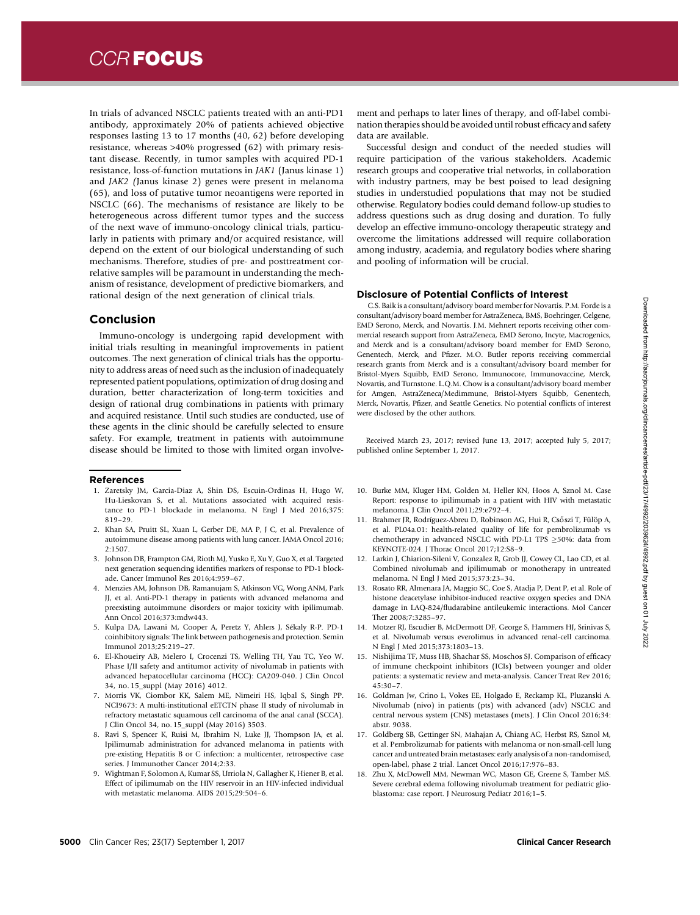In trials of advanced NSCLC patients treated with an anti-PD1 antibody, approximately 20% of patients achieved objective responses lasting 13 to 17 months (40, 62) before developing resistance, whereas >40% progressed (62) with primary resistant disease. Recently, in tumor samples with acquired PD-1 resistance, loss-of-function mutations in JAK1 (Janus kinase 1) and JAK2 (Janus kinase 2) genes were present in melanoma (65), and loss of putative tumor neoantigens were reported in NSCLC (66). The mechanisms of resistance are likely to be heterogeneous across different tumor types and the success of the next wave of immuno-oncology clinical trials, particularly in patients with primary and/or acquired resistance, will depend on the extent of our biological understanding of such mechanisms. Therefore, studies of pre- and posttreatment correlative samples will be paramount in understanding the mechanism of resistance, development of predictive biomarkers, and rational design of the next generation of clinical trials.

### Conclusion

Immuno-oncology is undergoing rapid development with initial trials resulting in meaningful improvements in patient outcomes. The next generation of clinical trials has the opportunity to address areas of need such as the inclusion of inadequately represented patient populations, optimization of drug dosing and duration, better characterization of long-term toxicities and design of rational drug combinations in patients with primary and acquired resistance. Until such studies are conducted, use of these agents in the clinic should be carefully selected to ensure safety. For example, treatment in patients with autoimmune disease should be limited to those with limited organ involve-

#### References

- 1. Zaretsky JM, Garcia-Diaz A, Shin DS, Escuin-Ordinas H, Hugo W, Hu-Lieskovan S, et al. Mutations associated with acquired resistance to PD-1 blockade in melanoma. N Engl J Med 2016;375: 819–29.
- 2. Khan SA, Pruitt SL, Xuan L, Gerber DE, MA P, J C, et al. Prevalence of autoimmune disease among patients with lung cancer. JAMA Oncol 2016; 2:1507.
- 3. Johnson DB, Frampton GM, Rioth MJ, Yusko E, Xu Y, Guo X, et al. Targeted next generation sequencing identifies markers of response to PD-1 blockade. Cancer Immunol Res 2016;4:959–67.
- 4. Menzies AM, Johnson DB, Ramanujam S, Atkinson VG, Wong ANM, Park JJ, et al. Anti-PD-1 therapy in patients with advanced melanoma and preexisting autoimmune disorders or major toxicity with ipilimumab. Ann Oncol 2016;373:mdw443.
- 5. Kulpa DA, Lawani M, Cooper A, Peretz Y, Ahlers J, Sekaly R-P. PD-1 coinhibitory signals: The link between pathogenesis and protection. Semin Immunol 2013;25:219–27.
- 6. El-Khoueiry AB, Melero I, Crocenzi TS, Welling TH, Yau TC, Yeo W. Phase I/II safety and antitumor activity of nivolumab in patients with advanced hepatocellular carcinoma (HCC): CA209-040. J Clin Oncol 34, no. 15\_suppl (May 2016) 4012.
- 7. Morris VK, Ciombor KK, Salem ME, Nimeiri HS, Iqbal S, Singh PP. NCI9673: A multi-institutional eETCTN phase II study of nivolumab in refractory metastatic squamous cell carcinoma of the anal canal (SCCA). J Clin Oncol 34, no. 15\_suppl (May 2016) 3503.
- 8. Ravi S, Spencer K, Ruisi M, Ibrahim N, Luke JJ, Thompson JA, et al. Ipilimumab administration for advanced melanoma in patients with pre-existing Hepatitis B or C infection: a multicenter, retrospective case series. J Immunother Cancer 2014;2:33.
- 9. Wightman F, Solomon A, Kumar SS, Urriola N, Gallagher K, Hiener B, et al. Effect of ipilimumab on the HIV reservoir in an HIV-infected individual with metastatic melanoma. AIDS 2015;29:504–6.

ment and perhaps to later lines of therapy, and off-label combination therapies should be avoided until robust efficacy and safety data are available.

Successful design and conduct of the needed studies will require participation of the various stakeholders. Academic research groups and cooperative trial networks, in collaboration with industry partners, may be best poised to lead designing studies in understudied populations that may not be studied otherwise. Regulatory bodies could demand follow-up studies to address questions such as drug dosing and duration. To fully develop an effective immuno-oncology therapeutic strategy and overcome the limitations addressed will require collaboration among industry, academia, and regulatory bodies where sharing and pooling of information will be crucial.

#### Disclosure of Potential Conflicts of Interest

C.S. Baik is a consultant/advisory board member for Novartis. P.M. Forde is a consultant/advisory board member for AstraZeneca, BMS, Boehringer, Celgene, EMD Serono, Merck, and Novartis. J.M. Mehnert reports receiving other commercial research support from AstraZeneca, EMD Serono, Incyte, Macrogenics, and Merck and is a consultant/advisory board member for EMD Serono, Genentech, Merck, and Pfizer. M.O. Butler reports receiving commercial research grants from Merck and is a consultant/advisory board member for Bristol-Myers Squibb, EMD Serono, Immunocore, Immunovaccine, Merck, Novartis, and Turnstone. L.Q.M. Chow is a consultant/advisory board member for Amgen, AstraZeneca/Medimmune, Bristol-Myers Squibb, Genentech, Merck, Novartis, Pfizer, and Seattle Genetics. No potential conflicts of interest were disclosed by the other authors.

Received March 23, 2017; revised June 13, 2017; accepted July 5, 2017; published online September 1, 2017.

- 10. Burke MM, Kluger HM, Golden M, Heller KN, Hoos A, Sznol M. Case Report: response to ipilimumab in a patient with HIV with metastatic melanoma. J Clin Oncol 2011;29:e792–4.
- 11. Brahmer JR, Rodríguez-Abreu D, Robinson AG, Hui R, Csőszi T, Fülöp A, et al. PL04a.01: health-related quality of life for pembrolizumab vs chemotherapy in advanced NSCLC with PD-L1 TPS  $\geq$ 50%: data from KEYNOTE-024. J Thorac Oncol 2017;12:S8–9.
- 12. Larkin J, Chiarion-Sileni V, Gonzalez R, Grob JJ, Cowey CL, Lao CD, et al. Combined nivolumab and ipilimumab or monotherapy in untreated melanoma. N Engl J Med 2015;373:23–34.
- 13. Rosato RR, Almenara JA, Maggio SC, Coe S, Atadja P, Dent P, et al. Role of histone deacetylase inhibitor-induced reactive oxygen species and DNA damage in LAQ-824/fludarabine antileukemic interactions. Mol Cancer Ther 2008;7:3285–97.
- 14. Motzer RJ, Escudier B, McDermott DF, George S, Hammers HJ, Srinivas S, et al. Nivolumab versus everolimus in advanced renal-cell carcinoma. N Engl J Med 2015;373:1803–13.
- 15. Nishijima TF, Muss HB, Shachar SS, Moschos SJ. Comparison of efficacy of immune checkpoint inhibitors (ICIs) between younger and older patients: a systematic review and meta-analysis. Cancer Treat Rev 2016; 45:30–7.
- 16. Goldman Jw, Crino L, Vokes EE, Holgado E, Reckamp KL, Pluzanski A. Nivolumab (nivo) in patients (pts) with advanced (adv) NSCLC and central nervous system (CNS) metastases (mets). J Clin Oncol 2016;34: abstr. 9038.
- 17. Goldberg SB, Gettinger SN, Mahajan A, Chiang AC, Herbst RS, Sznol M, et al. Pembrolizumab for patients with melanoma or non-small-cell lung cancer and untreated brain metastases: early analysis of a non-randomised, open-label, phase 2 trial. Lancet Oncol 2016;17:976–83.
- 18. Zhu X, McDowell MM, Newman WC, Mason GE, Greene S, Tamber MS. Severe cerebral edema following nivolumab treatment for pediatric glioblastoma: case report. J Neurosurg Pediatr 2016;1–5.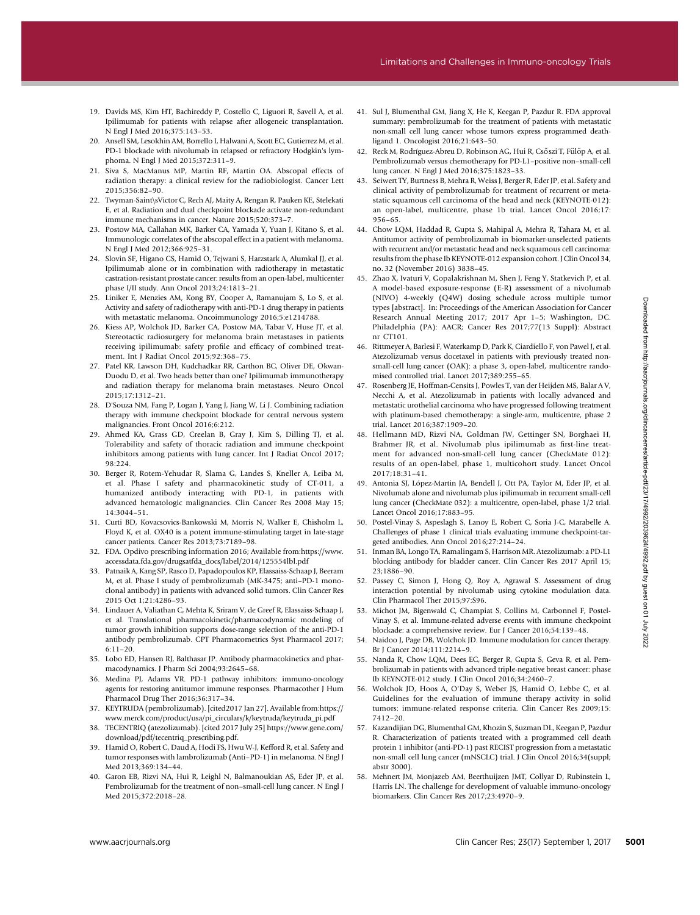- 19. Davids MS, Kim HT, Bachireddy P, Costello C, Liguori R, Savell A, et al. Ipilimumab for patients with relapse after allogeneic transplantation. N Engl J Med 2016;375:143–53.
- 20. Ansell SM, Lesokhin AM, Borrello I, Halwani A, Scott EC, Gutierrez M, et al. PD-1 blockade with nivolumab in relapsed or refractory Hodgkin's lymphoma. N Engl J Med 2015;372:311–9.
- 21. Siva S, MacManus MP, Martin RF, Martin OA. Abscopal effects of radiation therapy: a clinical review for the radiobiologist. Cancer Lett 2015;356:82–90.
- 22. Twyman-Saint\sVictor C, Rech AJ, Maity A, Rengan R, Pauken KE, Stelekati E, et al. Radiation and dual checkpoint blockade activate non-redundant immune mechanisms in cancer. Nature 2015;520:373–7.
- 23. Postow MA, Callahan MK, Barker CA, Yamada Y, Yuan J, Kitano S, et al. Immunologic correlates of the abscopal effect in a patient with melanoma. N Engl J Med 2012;366:925–31.
- 24. Slovin SF, Higano CS, Hamid O, Tejwani S, Harzstark A, Alumkal JJ, et al. Ipilimumab alone or in combination with radiotherapy in metastatic castration-resistant prostate cancer: results from an open-label, multicenter phase I/II study. Ann Oncol 2013;24:1813–21.
- 25. Liniker E, Menzies AM, Kong BY, Cooper A, Ramanujam S, Lo S, et al. Activity and safety of radiotherapy with anti-PD-1 drug therapy in patients with metastatic melanoma. Oncoimmunology 2016;5:e1214788.
- 26. Kiess AP, Wolchok JD, Barker CA, Postow MA, Tabar V, Huse JT, et al. Stereotactic radiosurgery for melanoma brain metastases in patients receiving ipilimumab: safety profile and efficacy of combined treatment. Int J Radiat Oncol 2015;92:368–75.
- 27. Patel KR, Lawson DH, Kudchadkar RR, Carthon BC, Oliver DE, Okwan-Duodu D, et al. Two heads better than one? Ipilimumab immunotherapy and radiation therapy for melanoma brain metastases. Neuro Oncol 2015;17:1312–21.
- 28. D'Souza NM, Fang P, Logan J, Yang J, Jiang W, Li J. Combining radiation therapy with immune checkpoint blockade for central nervous system malignancies. Front Oncol 2016;6:212.
- 29. Ahmed KA, Grass GD, Creelan B, Gray J, Kim S, Dilling TJ, et al. Tolerability and safety of thoracic radiation and immune checkpoint inhibitors among patients with lung cancer. Int J Radiat Oncol 2017; 98:224.
- 30. Berger R, Rotem-Yehudar R, Slama G, Landes S, Kneller A, Leiba M, et al. Phase I safety and pharmacokinetic study of CT-011, a humanized antibody interacting with PD-1, in patients with advanced hematologic malignancies. Clin Cancer Res 2008 May 15; 14:3044–51.
- 31. Curti BD, Kovacsovics-Bankowski M, Morris N, Walker E, Chisholm L, Floyd K, et al. OX40 is a potent immune-stimulating target in late-stage cancer patients. Cancer Res 2013;73:7189–98.
- 32. FDA. Opdivo prescribing information 2016; Available from:[https://www.](https://www.accessdata.fda.gov/drugsatfda_docs/label/2014/125554lbl.pdf) [accessdata.fda.gov/drugsatfda\\_docs/label/2014/125554lbl.pdf](https://www.accessdata.fda.gov/drugsatfda_docs/label/2014/125554lbl.pdf)
- 33. Patnaik A, Kang SP, Rasco D, Papadopoulos KP, Elassaiss-Schaap J, Beeram M, et al. Phase I study of pembrolizumab (MK-3475; anti–PD-1 monoclonal antibody) in patients with advanced solid tumors. Clin Cancer Res 2015 Oct 1;21:4286–93.
- 34. Lindauer A, Valiathan C, Mehta K, Sriram V, de Greef R, Elassaiss-Schaap J, et al. Translational pharmacokinetic/pharmacodynamic modeling of tumor growth inhibition supports dose-range selection of the anti-PD-1 antibody pembrolizumab. CPT Pharmacometrics Syst Pharmacol 2017; 6:11–20.
- 35. Lobo ED, Hansen RJ, Balthasar JP. Antibody pharmacokinetics and pharmacodynamics. J Pharm Sci 2004;93:2645–68.
- 36. Medina PJ, Adams VR. PD-1 pathway inhibitors: immuno-oncology agents for restoring antitumor immune responses. Pharmacother J Hum Pharmacol Drug Ther 2016;36:317–34.
- 37. KEYTRUDA (pembrolizumab). [cited2017 Jan 27]. Available from[:https://](https://www.merck.com/product/usa/pi_circulars/k/keytruda/keytruda_pi.pdf) [www.merck.com/product/usa/pi\\_circulars/k/keytruda/keytruda\\_pi.pdf](https://www.merck.com/product/usa/pi_circulars/k/keytruda/keytruda_pi.pdf)
- 38. TECENTRIQ (atezolizumab). [cited 2017 July 25] https://www.gene.com/ download/pdf/tecentriq\_prescribing.pdf.
- 39. Hamid O, Robert C, Daud A, Hodi FS, Hwu W-J, Kefford R, et al. Safety and tumor responses with lambrolizumab (Anti–PD-1) in melanoma. N Engl J Med 2013;369:134–44.
- 40. Garon EB, Rizvi NA, Hui R, Leighl N, Balmanoukian AS, Eder JP, et al. Pembrolizumab for the treatment of non–small-cell lung cancer. N Engl J Med 2015;372:2018–28.
- 41. Sul J, Blumenthal GM, Jiang X, He K, Keegan P, Pazdur R. FDA approval summary: pembrolizumab for the treatment of patients with metastatic non-small cell lung cancer whose tumors express programmed deathligand 1. Oncologist 2016;21:643–50.
- 42. Reck M, Rodríguez-Abreu D, Robinson AG, Hui R, Csőszi T, Fülöp A, et al. Pembrolizumab versus chemotherapy for PD-L1–positive non–small-cell lung cancer. N Engl J Med 2016;375:1823–33.
- 43. Seiwert TY, Burtness B, Mehra R, Weiss J, Berger R, Eder JP, et al. Safety and clinical activity of pembrolizumab for treatment of recurrent or metastatic squamous cell carcinoma of the head and neck (KEYNOTE-012): an open-label, multicentre, phase 1b trial. Lancet Oncol 2016;17: 956–65.
- 44. Chow LQM, Haddad R, Gupta S, Mahipal A, Mehra R, Tahara M, et al. Antitumor activity of pembrolizumab in biomarker-unselected patients with recurrent and/or metastatic head and neck squamous cell carcinoma: results from the phase Ib KEYNOTE-012 expansion cohort. J Clin Oncol 34, no. 32 (November 2016) 3838–45.
- 45. Zhao X, Ivaturi V, Gopalakrishnan M, Shen J, Feng Y, Statkevich P, et al. A model-based exposure-response (E-R) assessment of a nivolumab (NIVO) 4-weekly (Q4W) dosing schedule across multiple tumor types [abstract]. In: Proceedings of the American Association for Cancer Research Annual Meeting 2017; 2017 Apr 1–5; Washington, DC. Philadelphia (PA): AACR; Cancer Res 2017;77(13 Suppl): Abstract nr CT101.
- 46. Rittmeyer A, Barlesi F, Waterkamp D, Park K, Ciardiello F, von Pawel J, et al. Atezolizumab versus docetaxel in patients with previously treated nonsmall-cell lung cancer (OAK): a phase 3, open-label, multicentre randomised controlled trial. Lancet 2017;389:255–65.
- 47. Rosenberg JE, Hoffman-Censits J, Powles T, van der Heijden MS, Balar A V, Necchi A, et al. Atezolizumab in patients with locally advanced and metastatic urothelial carcinoma who have progressed following treatment with platinum-based chemotherapy: a single-arm, multicentre, phase 2 trial. Lancet 2016;387:1909–20. with the model of the specific terms in the specific terms in the specific term in the specific term in the specific term in the specific term in the specific term in the specific term in the specific term in the specifi
	- 48. Hellmann MD, Rizvi NA, Goldman JW, Gettinger SN, Borghaei H, Brahmer JR, et al. Nivolumab plus ipilimumab as first-line treatment for advanced non-small-cell lung cancer (CheckMate 012): results of an open-label, phase 1, multicohort study. Lancet Oncol 2017;18:31–41.
	- 49. Antonia SJ, López-Martin JA, Bendell J, Ott PA, Taylor M, Eder JP, et al. Nivolumab alone and nivolumab plus ipilimumab in recurrent small-cell lung cancer (CheckMate 032): a multicentre, open-label, phase 1/2 trial. Lancet Oncol 2016;17:883–95.
	- 50. Postel-Vinay S, Aspeslagh S, Lanoy E, Robert C, Soria J-C, Marabelle A. Challenges of phase 1 clinical trials evaluating immune checkpoint-targeted antibodies. Ann Oncol 2016;27:214–24.
	- 51. Inman BA, Longo TA, Ramalingam S, Harrison MR. Atezolizumab: a PD-L1 blocking antibody for bladder cancer. Clin Cancer Res 2017 April 15; 23;1886–90.
	- 52. Passey C, Simon J, Hong Q, Roy A, Agrawal S. Assessment of drug interaction potential by nivolumab using cytokine modulation data. Clin Pharmacol Ther 2015;97:S96.
	- 53. Michot JM, Bigenwald C, Champiat S, Collins M, Carbonnel F, Postel-Vinay S, et al. Immune-related adverse events with immune checkpoint blockade: a comprehensive review. Eur J Cancer 2016;54:139–48.
	- 54. Naidoo J, Page DB, Wolchok JD. Immune modulation for cancer therapy. Br J Cancer 2014;111:2214–9.
	- 55. Nanda R, Chow LQM, Dees EC, Berger R, Gupta S, Geva R, et al. Pembrolizumab in patients with advanced triple-negative breast cancer: phase Ib KEYNOTE-012 study. J Clin Oncol 2016;34:2460–7.
	- 56. Wolchok JD, Hoos A, O'Day S, Weber JS, Hamid O, Lebbe C, et al. Guidelines for the evaluation of immune therapy activity in solid tumors: immune-related response criteria. Clin Cancer Res 2009;15: 7412–20.
	- 57. Kazandijian DG, Blumenthal GM, Khozin S, Suzman DL, Keegan P, Pazdur R. Characterization of patients treated with a programmed cell death protein 1 inhibitor (anti-PD-1) past RECIST progression from a metastatic non-small cell lung cancer (mNSCLC) trial. J Clin Oncol 2016;34(suppl; abstr 3000).
	- 58. Mehnert JM, Monjazeb AM, Beerthuijzen JMT, Collyar D, Rubinstein L, Harris LN. The challenge for development of valuable immuno-oncology biomarkers. Clin Cancer Res 2017;23:4970–9.